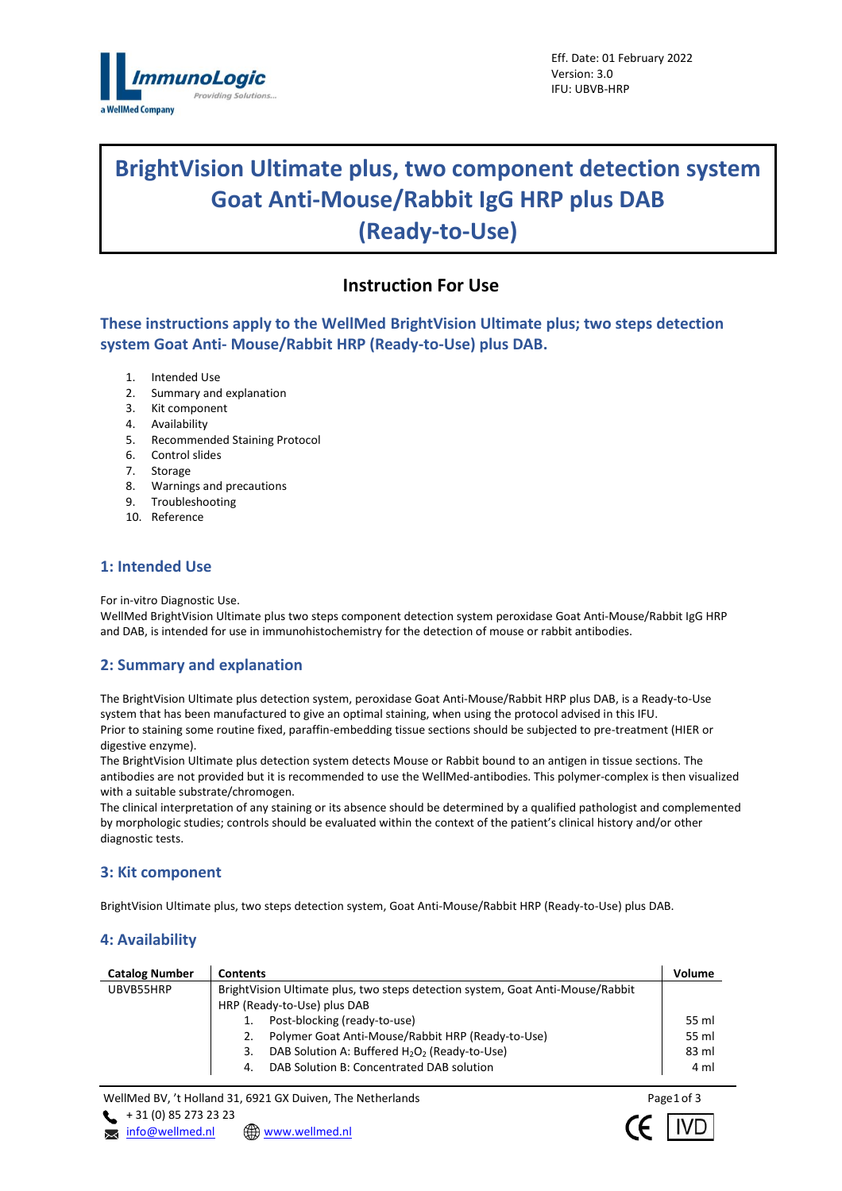

# **BrightVision Ultimate plus, two component detection system Goat Anti-Mouse/Rabbit IgG HRP plus DAB (Ready-to-Use)**

# **Instruction For Use**

**These instructions apply to the WellMed BrightVision Ultimate plus; two steps detection system Goat Anti- Mouse/Rabbit HRP (Ready-to-Use) plus DAB.**

- 1. Intended Use
- 2. Summary and explanation
- 3. Kit component
- 4. Availability
- 5. Recommended Staining Protocol
- 6. Control slides
- 7. Storage
- 8. Warnings and precautions
- 9. Troubleshooting
- 10. Reference

### **1: Intended Use**

For in-vitro Diagnostic Use.

WellMed BrightVision Ultimate plus two steps component detection system peroxidase Goat Anti-Mouse/Rabbit IgG HRP and DAB, is intended for use in immunohistochemistry for the detection of mouse or rabbit antibodies.

### **2: Summary and explanation**

The BrightVision Ultimate plus detection system, peroxidase Goat Anti-Mouse/Rabbit HRP plus DAB, is a Ready-to-Use system that has been manufactured to give an optimal staining, when using the protocol advised in this IFU. Prior to staining some routine fixed, paraffin-embedding tissue sections should be subjected to pre-treatment (HIER or digestive enzyme).

The BrightVision Ultimate plus detection system detects Mouse or Rabbit bound to an antigen in tissue sections. The antibodies are not provided but it is recommended to use the WellMed-antibodies. This polymer-complex is then visualized with a suitable substrate/chromogen.

The clinical interpretation of any staining or its absence should be determined by a qualified pathologist and complemented by morphologic studies; controls should be evaluated within the context of the patient's clinical history and/or other diagnostic tests.

### **3: Kit component**

BrightVision Ultimate plus, two steps detection system, Goat Anti-Mouse/Rabbit HRP (Ready-to-Use) plus DAB.

### **4: Availability**

| <b>Catalog Number</b> | <b>Contents</b>                                                                | Volume |  |  |
|-----------------------|--------------------------------------------------------------------------------|--------|--|--|
| UBVB55HRP             | BrightVision Ultimate plus, two steps detection system, Goat Anti-Mouse/Rabbit |        |  |  |
|                       | HRP (Ready-to-Use) plus DAB                                                    |        |  |  |
|                       | Post-blocking (ready-to-use)                                                   | 55 ml  |  |  |
|                       | Polymer Goat Anti-Mouse/Rabbit HRP (Ready-to-Use)<br>2.                        | 55 ml  |  |  |
|                       | DAB Solution A: Buffered H <sub>2</sub> O <sub>2</sub> (Ready-to-Use)<br>3.    | 83 ml  |  |  |
|                       | DAB Solution B: Concentrated DAB solution<br>4.                                | 4 ml   |  |  |

WellMed BV, 't Holland 31, 6921 GX Duiven, The Netherlands  $\leftarrow$  + 31 (0) 85 273 23 23

**x** [info@wellmed.nl](mailto:info@wellmed.nl) **\@** [www.wellmed.nl](http://www.wellmed.nl/)